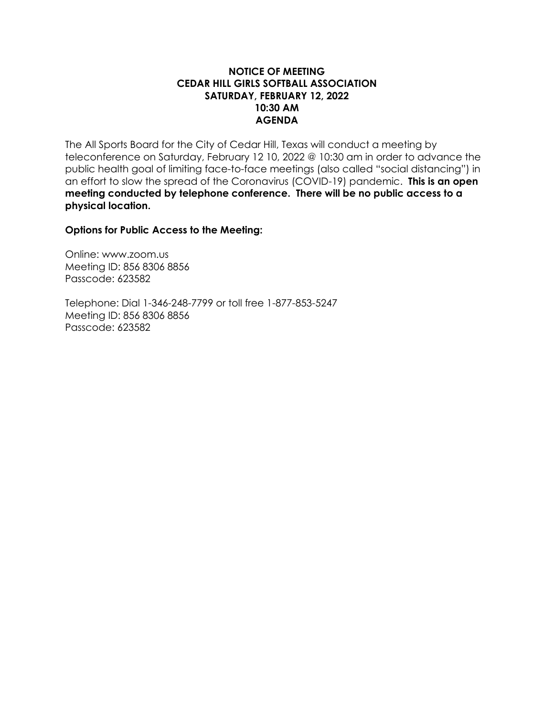### **NOTICE OF MEETING CEDAR HILL GIRLS SOFTBALL ASSOCIATION SATURDAY, FEBRUARY 12, 2022 10:30 AM AGENDA**

The All Sports Board for the City of Cedar Hill, Texas will conduct a meeting by teleconference on Saturday, February 12 10, 2022 @ 10:30 am in order to advance the public health goal of limiting face-to-face meetings (also called "social distancing") in an effort to slow the spread of the Coronavirus (COVID-19) pandemic. **This is an open meeting conducted by telephone conference. There will be no public access to a physical location.**

**Options for Public Access to the Meeting:**

Online: www.zoom.us Meeting ID: 856 8306 8856 Passcode: 623582

Telephone: Dial 1-346-248-7799 or toll free 1-877-853-5247 Meeting ID: 856 8306 8856 Passcode: 623582